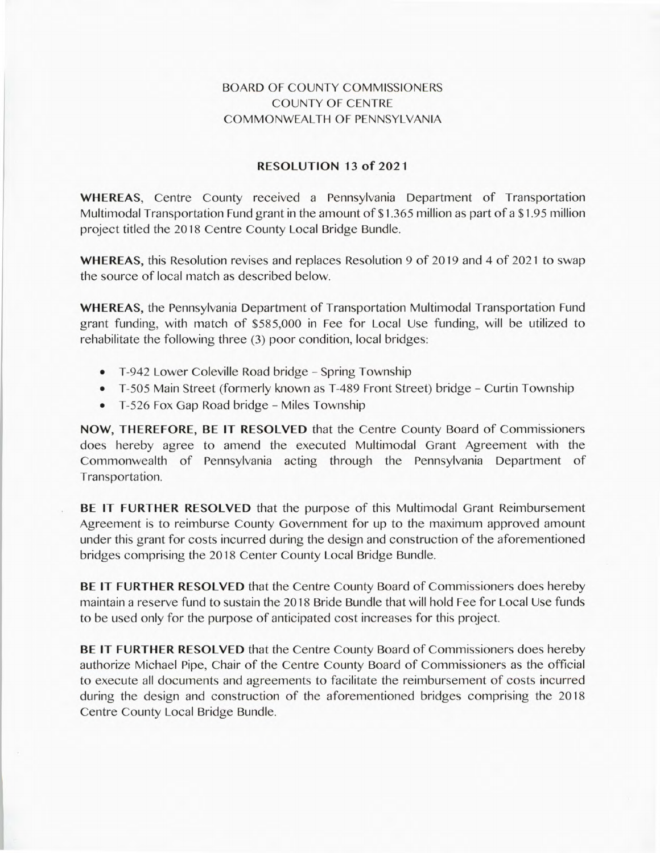## BOARD OF COUNTY COMMISSIONERS COUNTY OF CENTRE COMMONWEALTH OF PENNSYLVANIA

## **RESOLUTION 13 of 2021**

**WHEREAS,** Centre County received a Pennsylvania Department of Transportation Multimodal Transportation Fund grant in the amount of \$1 .365 million as part of a \$1.95 million project titled the 2018 Centre County Local Bridge Bundle.

**WHEREAS,** this Resolution revises and replaces Resolution 9 of 2019 and 4 of 2021 to swap the source of local match as described below.

WHEREAS, the Pennsylvania Department of Transportation Multimodal Transportation Fund grant funding, with match of \$585,000 in Fee for Local Use funding, will be utilized to rehabilitate the following three (3) poor condition, local bridges:

- T-942 Lower Coleville Road bridge Spring Township
- T-505 Main Street (formerly known as T-489 Front Street) bridge Curtin Township
- T-526 Fox Gap Road bridge Miles Township

**NOW, THEREFORE, BE IT RESOLVED** that the Centre County Board of Commissioners does hereby agree to amend the executed Multimodal Grant Agreement with the Commonwealth of Pennsylvania acting through the Pennsylvania Department of Transportation.

**BE IT FURTHER RESOLVED** that the purpose of this Multimodal Grant Reimbursement Agreement is to reimburse County Government for up to the maximum approved amount under this grant for costs incurred during the design and construction of the aforementioned bridges comprising the 2018 Center County Local Bridge Bundle.

**BE IT FURTHER RESOLVED** that the Centre County Board of Commissioners does hereby maintain a reserve fund to sustain the 2018 Bride Bundle that will hold Fee for Local Use funds to be used only for the purpose of anticipated cost increases for this project.

**BE IT FURTHER RESOLVED** that the Centre County Board of Commissioners does hereby authorize Michael Pipe, Chair of the Centre County Board of Commissioners as the official to execute all documents and agreements to facilitate the reimbursement of costs incurred during the design and construction of the aforementioned bridges comprising the 2018 Centre County Local Bridge Bundle.